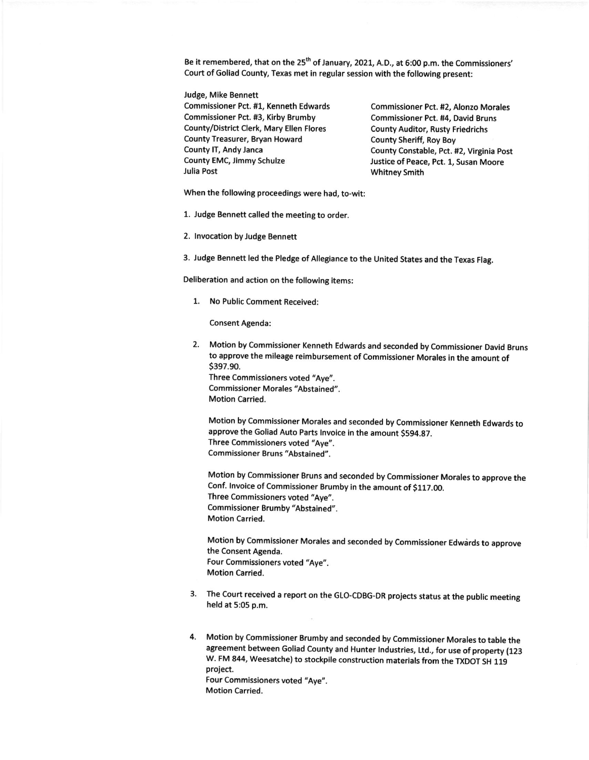Be it remembered, that on the 25<sup>th</sup> of January, 2021, A.D., at 6:00 p.m. the Commissioners' Court of Goliad County, Texas met in regular session with the following present:

Judge, Mike Bennett Commissioner Pct. #1, Kenneth Edwards Commissioner Pct. #2, Alonzo Morales Commissioner Pct. #3, Kirby Brumby Commissioner Pct. #4, David Bruns County/District Clerk, Mary Ellen Flores County Auditor, Rusty Friedrichs County Treasurer, Bryan Howard<br>
County IT, Andy Janca<br>
County Constable, Pct. 1 County IT, Andy Janca<br>
County EMC, Jimmy Schulze<br>
Justice of Peace. Pct. 1. Susan Moore County EMC, Jimmy Schulze **Justice of Peace, Pct. 1, Susan Moore**<br>Julia Post **Julia Post** 

**Whitney Smith** 

When the following proceedings were had, to-wit:

1. Judge Bennett called the meeting to order.

2. lnvocation by Judge Bennett

3. Judge Bennett led the Pledge of Allegiance to the United States and the Texas Flag.

Deliberation and action on the following items:

1. No Public Comment Received:

Consent Agenda:

2. Motion by Commissioner Kenneth Edwards and seconded by Commissioner David Bruns to approve the mileage reimbursement of Commissioner Morales in the amount of s397.90. Three Commissioners voted "Aye".

Commissioner Morales "Abstained". Motion Carried.

Motion by Commissioner Morales and seconded by Commissioner Kenneth Edwards to approve the Goliad Auto Parts Invoice in the amount \$594.87. Three Commissioners voted "Aye". Commissioner Bruns "Abstained".

Motion by Commissioner Bruns and seconded by Commissioner Morales to approve the Conf. lnvoice of Commissioner Brumby in the amount of S117.00. Three Commissioners voted "Aye". Commissioner Brumby "Abstained". Motion Carried.

Motion by Commissioner Morales and seconded by Commissioner Edwards to approve the Consent Agenda. Four Commissioners voted "Aye". Motion Carried.

3. The Court received a report on the GLO-CDBG-DR projects status at the public meeting held at 5:05 p.m.

4. Motion by Commissioner Brumby and seconded by Commissioner Morales to table the agreement between Goliad County and Hunter Industries, Ltd., for use of property (123 W. FM 844, Weesatche) to stockpile construction materials from the TXDOT SH 119 project. Four Commissioners voted "Aye".

Motion Carried.